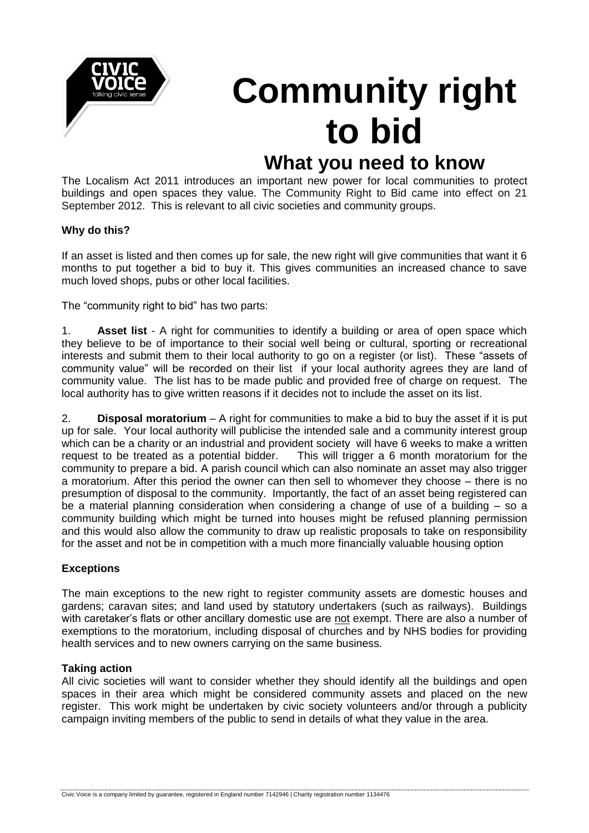

# **Community right to bid**

# **What you need to know**

The Localism Act 2011 introduces an important new power for local communities to protect buildings and open spaces they value. The Community Right to Bid came into effect on 21 September 2012. This is relevant to all civic societies and community groups.

# **Why do this?**

If an asset is listed and then comes up for sale, the new right will give communities that want it 6 months to put together a bid to buy it. This gives communities an increased chance to save much loved shops, pubs or other local facilities.

The "community right to bid" has two parts:

1. **Asset list** - A right for communities to identify a building or area of open space which they believe to be of importance to their social well being or cultural, sporting or recreational interests and submit them to their local authority to go on a register (or list). These "assets of community value" will be recorded on their list if your local authority agrees they are land of community value. The list has to be made public and provided free of charge on request. The local authority has to give written reasons if it decides not to include the asset on its list.

2. **Disposal moratorium** – A right for communities to make a bid to buy the asset if it is put up for sale. Your local authority will publicise the intended sale and a community interest group which can be a charity or an industrial and provident society will have 6 weeks to make a written request to be treated as a potential bidder. This will trigger a 6 month moratorium for the community to prepare a bid. A parish council which can also nominate an asset may also trigger a moratorium. After this period the owner can then sell to whomever they choose – there is no presumption of disposal to the community. Importantly, the fact of an asset being registered can be a material planning consideration when considering a change of use of a building – so a community building which might be turned into houses might be refused planning permission and this would also allow the community to draw up realistic proposals to take on responsibility for the asset and not be in competition with a much more financially valuable housing option

# **Exceptions**

The main exceptions to the new right to register community assets are domestic houses and gardens; caravan sites; and land used by statutory undertakers (such as railways). Buildings with caretaker's flats or other ancillary domestic use are not exempt. There are also a number of exemptions to the moratorium, including disposal of churches and by NHS bodies for providing health services and to new owners carrying on the same business.

# **Taking action**

All civic societies will want to consider whether they should identify all the buildings and open spaces in their area which might be considered community assets and placed on the new register. This work might be undertaken by civic society volunteers and/or through a publicity campaign inviting members of the public to send in details of what they value in the area.